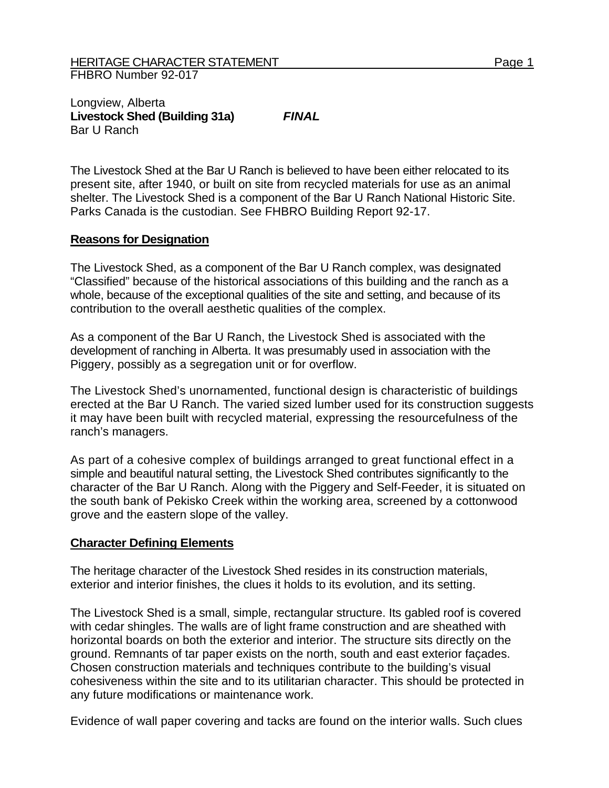## Longview, Alberta **Livestock Shed (Building 31a)** *FINAL*  Bar U Ranch

The Livestock Shed at the Bar U Ranch is believed to have been either relocated to its present site, after 1940, or built on site from recycled materials for use as an animal shelter. The Livestock Shed is a component of the Bar U Ranch National Historic Site. Parks Canada is the custodian. See FHBRO Building Report 92-17.

## **Reasons for Designation**

The Livestock Shed, as a component of the Bar U Ranch complex, was designated "Classified" because of the historical associations of this building and the ranch as a whole, because of the exceptional qualities of the site and setting, and because of its contribution to the overall aesthetic qualities of the complex.

As a component of the Bar U Ranch, the Livestock Shed is associated with the development of ranching in Alberta. It was presumably used in association with the Piggery, possibly as a segregation unit or for overflow.

The Livestock Shed's unornamented, functional design is characteristic of buildings erected at the Bar U Ranch. The varied sized lumber used for its construction suggests it may have been built with recycled material, expressing the resourcefulness of the ranch's managers.

As part of a cohesive complex of buildings arranged to great functional effect in a simple and beautiful natural setting, the Livestock Shed contributes significantly to the character of the Bar U Ranch. Along with the Piggery and Self-Feeder, it is situated on the south bank of Pekisko Creek within the working area, screened by a cottonwood grove and the eastern slope of the valley.

## **Character Defining Elements**

The heritage character of the Livestock Shed resides in its construction materials, exterior and interior finishes, the clues it holds to its evolution, and its setting.

The Livestock Shed is a small, simple, rectangular structure. Its gabled roof is covered with cedar shingles. The walls are of light frame construction and are sheathed with horizontal boards on both the exterior and interior. The structure sits directly on the ground. Remnants of tar paper exists on the north, south and east exterior façades. Chosen construction materials and techniques contribute to the building's visual cohesiveness within the site and to its utilitarian character. This should be protected in any future modifications or maintenance work.

Evidence of wall paper covering and tacks are found on the interior walls. Such clues